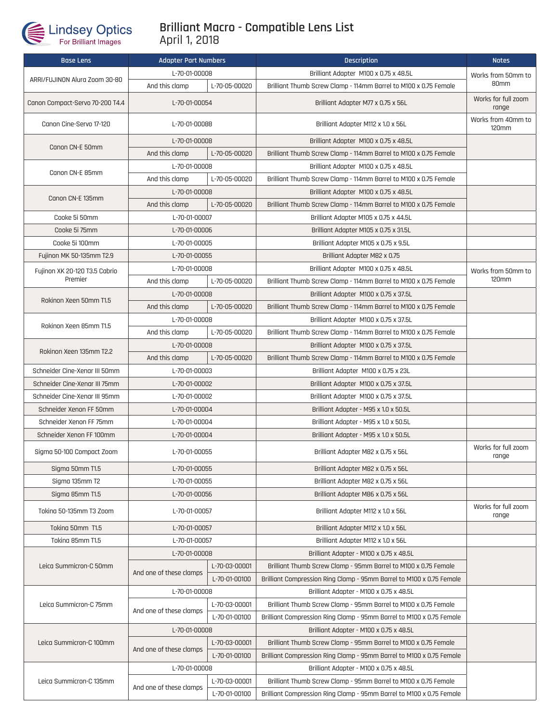

## **Brilliant Macro - Compatible Lens List** April 1, 2018

| <b>Base Lens</b>                | <b>Adapter Part Numbers</b>     |               | <b>Description</b>                                                   | <b>Notes</b>                       |
|---------------------------------|---------------------------------|---------------|----------------------------------------------------------------------|------------------------------------|
| ARRI/FUJINON Alura Zoom 30-80   | L-70-01-00008                   |               | Brilliant Adapter M100 x 0.75 x 48.5L                                | Works from 50mm to                 |
|                                 | And this clamp                  | L-70-05-00020 | Brilliant Thumb Screw Clamp - 114mm Barrel to M100 x 0.75 Female     | 80mm                               |
| Canon Compact-Servo 70-200 T4.4 | L-70-01-00054                   |               | Brilliant Adapter M77 x 0.75 x 56L                                   | Works for full zoom<br>range       |
| Canon Cine-Servo 17-120         | L-70-01-00088                   |               | Brilliant Adapter M112 x 1.0 x 56L                                   | Works from 40mm to<br><b>120mm</b> |
| Canon CN-E 50mm                 | L-70-01-00008                   |               | Brilliant Adapter M100 x 0.75 x 48.5L                                |                                    |
|                                 | And this clamp<br>L-70-05-00020 |               | Brilliant Thumb Screw Clamp - 114mm Barrel to M100 x 0.75 Female     |                                    |
| Canon CN-E 85mm                 | L-70-01-00008                   |               | Brilliant Adapter M100 x 0.75 x 48.5L                                |                                    |
|                                 | And this clamp<br>L-70-05-00020 |               | Brilliant Thumb Screw Clamp - 114mm Barrel to M100 x 0.75 Female     |                                    |
| Canon CN-E 135mm                | L-70-01-00008                   |               | Brilliant Adapter M100 x 0.75 x 48.5L                                |                                    |
|                                 | And this clamp<br>L-70-05-00020 |               | Brilliant Thumb Screw Clamp - 114mm Barrel to M100 x 0.75 Female     |                                    |
| Cooke 5i 50mm                   | L-70-01-00007                   |               | Brilliant Adapter M105 x 0.75 x 44.5L                                |                                    |
| Cooke 5i 75mm                   | L-70-01-00006                   |               | Brilliant Adapter M105 x 0.75 x 31.5L                                |                                    |
| Cooke 5i 100mm                  | L-70-01-00005                   |               | Brilliant Adapter M105 x 0.75 x 9.5L                                 |                                    |
| Fujinon MK 50-135mm T2.9        | L-70-01-00055                   |               | Brilliant Adapter M82 x 0.75                                         |                                    |
| Fujinon XK 20-120 T3.5 Cabrio   | L-70-01-00008                   |               | Brilliant Adapter M100 x 0.75 x 48.5L                                | Works from 50mm to<br>120mm        |
| Premier                         | And this clamp<br>L-70-05-00020 |               | Brilliant Thumb Screw Clamp - 114mm Barrel to M100 x 0.75 Female     |                                    |
|                                 | L-70-01-00008                   |               | Brilliant Adapter M100 x 0.75 x 37.5L                                |                                    |
| Rokinon Xeen 50mm T1.5          | And this clamp                  | L-70-05-00020 | Brilliant Thumb Screw Clamp - 114mm Barrel to M100 x 0.75 Female     |                                    |
|                                 | L-70-01-00008                   |               | Brilliant Adapter M100 x 0.75 x 37.5L                                |                                    |
| Rokinon Xeen 85mm T1.5          | L-70-05-00020<br>And this clamp |               | Brilliant Thumb Screw Clamp - 114mm Barrel to M100 x 0.75 Female     |                                    |
| Rokinon Xeen 135mm T2.2         | L-70-01-00008                   |               | Brilliant Adapter M100 x 0.75 x 37.5L                                |                                    |
|                                 | And this clamp                  | L-70-05-00020 | Brilliant Thumb Screw Clamp - 114mm Barrel to M100 x 0.75 Female     |                                    |
| Schneider Cine-Xenar III 50mm   | L-70-01-00003                   |               | Brilliant Adapter M100 x 0.75 x 23L                                  |                                    |
| Schneider Cine-Xenar III 75mm   | L-70-01-00002                   |               | Brilliant Adapter M100 x 0.75 x 37.5L                                |                                    |
| Schneider Cine-Xenar III 95mm   | L-70-01-00002                   |               | Brilliant Adapter M100 x 0.75 x 37.5L                                |                                    |
| Schneider Xenon FF 50mm         | L-70-01-00004                   |               | Brilliant Adapter - M95 x 1.0 x 50.5L                                |                                    |
| Schneider Xenon FF 75mm         | L-70-01-00004                   |               | Brilliant Adapter - M95 x 1.0 x 50.5L                                |                                    |
| Schneider Xenon FF 100mm        | L-70-01-00004                   |               | Brilliant Adapter - M95 x 1.0 x 50.5L                                |                                    |
| Sigma 50-100 Compact Zoom       | L-70-01-00055                   |               | Brilliant Adapter M82 x 0.75 x 56L                                   | Works for full zoom<br>range       |
| Sigma 50mm T1.5                 | L-70-01-00055                   |               | Brilliant Adapter M82 x 0.75 x 56L                                   |                                    |
| Sigma 135mm T2                  | L-70-01-00055                   |               | Brilliant Adapter M82 x 0.75 x 56L                                   |                                    |
| Sigma 85mm T1.5                 | L-70-01-00056                   |               | Brilliant Adapter M86 x 0.75 x 56L                                   |                                    |
| Toking 50-135mm T3 Zoom         | L-70-01-00057                   |               | Brilliant Adapter M112 x 1.0 x 56L                                   | Works for full zoom<br>range       |
| Toking 50mm T1.5                | L-70-01-00057                   |               | Brilliant Adapter M112 x 1.0 x 56L                                   |                                    |
| Tokina 85mm T1.5                | L-70-01-00057                   |               | Brilliant Adapter M112 x 1.0 x 56L                                   |                                    |
| Leica Summicron-C 50mm          | L-70-01-00008                   |               | Brilliant Adapter - M100 x 0.75 x 48.5L                              |                                    |
|                                 | And one of these clamps         | L-70-03-00001 | Brilliant Thumb Screw Clamp - 95mm Barrel to M100 x 0.75 Female      |                                    |
|                                 |                                 | L-70-01-00100 | Brilliant Compression Ring Clamp - 95mm Barrel to M100 x 0.75 Female |                                    |
| Leica Summicron-C 75mm          | L-70-01-00008                   |               | Brilliant Adapter - M100 x 0.75 x 48.5L                              |                                    |
|                                 | And one of these clamps         | L-70-03-00001 | Brilliant Thumb Screw Clamp - 95mm Barrel to M100 x 0.75 Female      |                                    |
|                                 |                                 | L-70-01-00100 | Brilliant Compression Ring Clamp - 95mm Barrel to M100 x 0.75 Female |                                    |
| Leica Summicron-C 100mm         | L-70-01-00008                   |               | Brilliant Adapter - M100 x 0.75 x 48.5L                              |                                    |
|                                 | And one of these clamps         | L-70-03-00001 | Brilliant Thumb Screw Clamp - 95mm Barrel to M100 x 0.75 Female      |                                    |
|                                 |                                 | L-70-01-00100 | Brilliant Compression Ring Clamp - 95mm Barrel to M100 x 0.75 Female |                                    |
|                                 | L-70-01-00008                   |               | Brilliant Adapter - M100 x 0.75 x 48.5L                              |                                    |
| Leica Summicron-C 135mm         | And one of these clamps         | L-70-03-00001 | Brilliant Thumb Screw Clamp - 95mm Barrel to M100 x 0.75 Female      |                                    |
|                                 |                                 | L-70-01-00100 | Brilliant Compression Ring Clamp - 95mm Barrel to M100 x 0.75 Female |                                    |